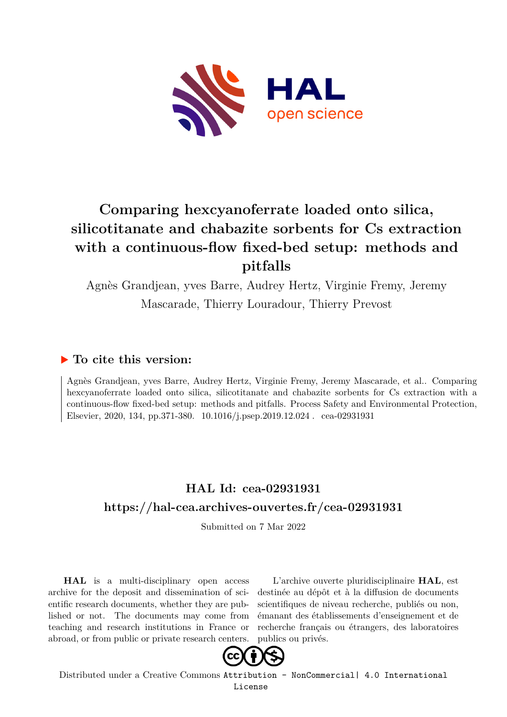

# **Comparing hexcyanoferrate loaded onto silica, silicotitanate and chabazite sorbents for Cs extraction with a continuous-flow fixed-bed setup: methods and pitfalls**

Agnès Grandjean, yves Barre, Audrey Hertz, Virginie Fremy, Jeremy Mascarade, Thierry Louradour, Thierry Prevost

# **To cite this version:**

Agnès Grandjean, yves Barre, Audrey Hertz, Virginie Fremy, Jeremy Mascarade, et al.. Comparing hexcyanoferrate loaded onto silica, silicotitanate and chabazite sorbents for Cs extraction with a continuous-flow fixed-bed setup: methods and pitfalls. Process Safety and Environmental Protection, Elsevier, 2020, 134, pp.371-380. 10.1016/j.psep.2019.12.024 cea-02931931

# **HAL Id: cea-02931931 <https://hal-cea.archives-ouvertes.fr/cea-02931931>**

Submitted on 7 Mar 2022

**HAL** is a multi-disciplinary open access archive for the deposit and dissemination of scientific research documents, whether they are published or not. The documents may come from teaching and research institutions in France or abroad, or from public or private research centers.

L'archive ouverte pluridisciplinaire **HAL**, est destinée au dépôt et à la diffusion de documents scientifiques de niveau recherche, publiés ou non, émanant des établissements d'enseignement et de recherche français ou étrangers, des laboratoires publics ou privés.



Distributed under a Creative Commons [Attribution - NonCommercial| 4.0 International](http://creativecommons.org/licenses/by-nc/4.0/) [License](http://creativecommons.org/licenses/by-nc/4.0/)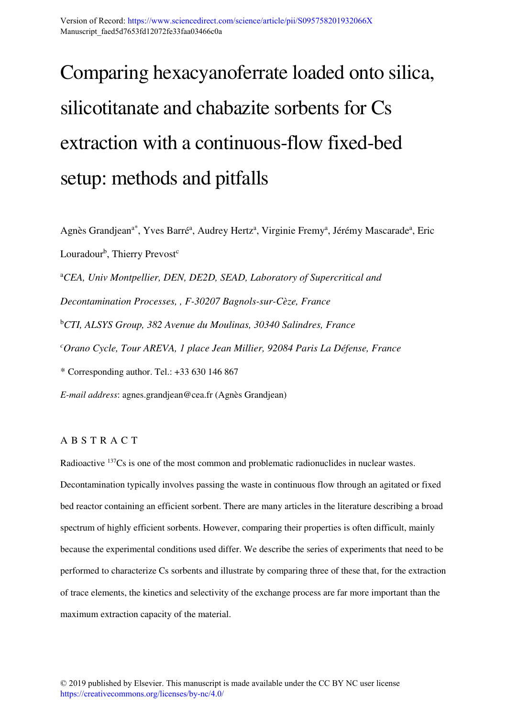# Comparing hexacyanoferrate loaded onto silica, silicotitanate and chabazite sorbents for Cs extraction with a continuous-flow fixed-bed setup: methods and pitfalls

Agnès Grandjean<sup>a\*</sup>, Yves Barré<sup>a</sup>, Audrey Hertz<sup>a</sup>, Virginie Fremy<sup>a</sup>, Jérémy Mascarade<sup>a</sup>, Eric Louradour<sup>b</sup>, Thierry Prevost<sup>c</sup> <sup>a</sup>*CEA, Univ Montpellier, DEN, DE2D, SEAD, Laboratory of Supercritical and Decontamination Processes, , F-30207 Bagnols-sur-Cèze, France*  <sup>b</sup>*CTI, ALSYS Group, 382 Avenue du Moulinas, 30340 Salindres, France <sup>c</sup>Orano Cycle, Tour AREVA, 1 place Jean Millier, 92084 Paris La Défense, France*  \* Corresponding author. Tel.: +33 630 146 867 *E-mail address*: agnes.grandjean@cea.fr (Agnès Grandjean)

## A B S T R A C T

Radioactive <sup>137</sup>Cs is one of the most common and problematic radionuclides in nuclear wastes. Decontamination typically involves passing the waste in continuous flow through an agitated or fixed bed reactor containing an efficient sorbent. There are many articles in the literature describing a broad spectrum of highly efficient sorbents. However, comparing their properties is often difficult, mainly because the experimental conditions used differ. We describe the series of experiments that need to be performed to characterize Cs sorbents and illustrate by comparing three of these that, for the extraction of trace elements, the kinetics and selectivity of the exchange process are far more important than the maximum extraction capacity of the material.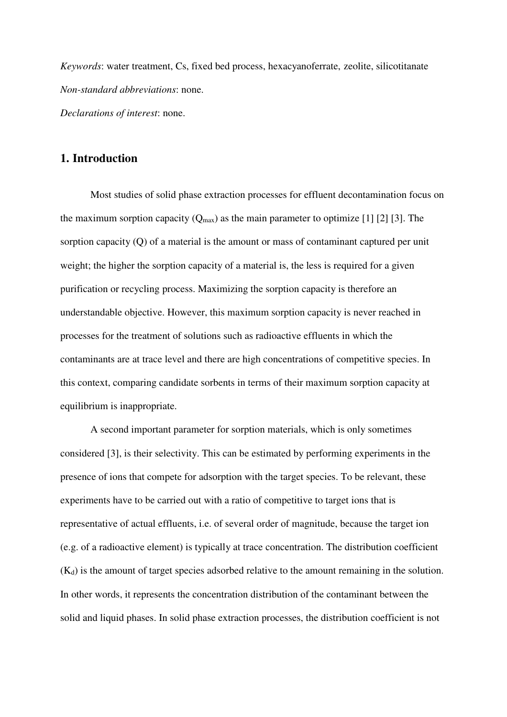*Keywords*: water treatment, Cs, fixed bed process, hexacyanoferrate, zeolite, silicotitanate *Non-standard abbreviations*: none. *Declarations of interest*: none.

# **1. Introduction**

Most studies of solid phase extraction processes for effluent decontamination focus on the maximum sorption capacity  $(Q_{max})$  as the main parameter to optimize [1] [2] [3]. The sorption capacity (Q) of a material is the amount or mass of contaminant captured per unit weight; the higher the sorption capacity of a material is, the less is required for a given purification or recycling process. Maximizing the sorption capacity is therefore an understandable objective. However, this maximum sorption capacity is never reached in processes for the treatment of solutions such as radioactive effluents in which the contaminants are at trace level and there are high concentrations of competitive species. In this context, comparing candidate sorbents in terms of their maximum sorption capacity at equilibrium is inappropriate.

A second important parameter for sorption materials, which is only sometimes considered [3], is their selectivity. This can be estimated by performing experiments in the presence of ions that compete for adsorption with the target species. To be relevant, these experiments have to be carried out with a ratio of competitive to target ions that is representative of actual effluents, i.e. of several order of magnitude, because the target ion (e.g. of a radioactive element) is typically at trace concentration. The distribution coefficient  $(K_d)$  is the amount of target species adsorbed relative to the amount remaining in the solution. In other words, it represents the concentration distribution of the contaminant between the solid and liquid phases. In solid phase extraction processes, the distribution coefficient is not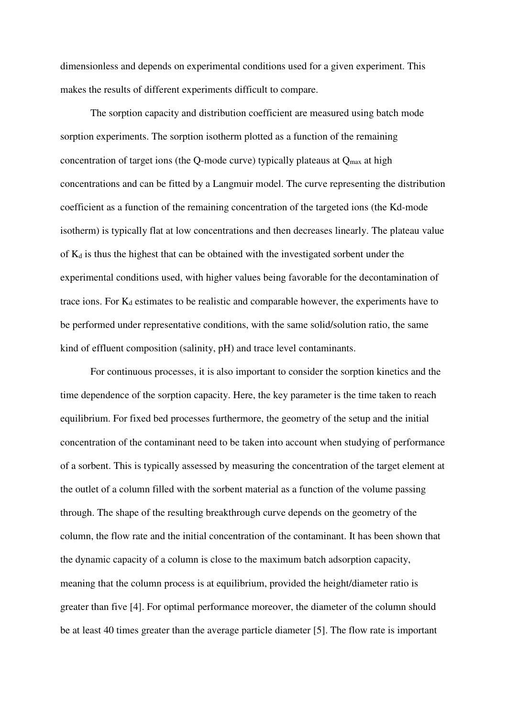dimensionless and depends on experimental conditions used for a given experiment. This makes the results of different experiments difficult to compare.

The sorption capacity and distribution coefficient are measured using batch mode sorption experiments. The sorption isotherm plotted as a function of the remaining concentration of target ions (the Q-mode curve) typically plateaus at  $Q_{\text{max}}$  at high concentrations and can be fitted by a Langmuir model. The curve representing the distribution coefficient as a function of the remaining concentration of the targeted ions (the Kd-mode isotherm) is typically flat at low concentrations and then decreases linearly. The plateau value of  $K_d$  is thus the highest that can be obtained with the investigated sorbent under the experimental conditions used, with higher values being favorable for the decontamination of trace ions. For  $K_d$  estimates to be realistic and comparable however, the experiments have to be performed under representative conditions, with the same solid/solution ratio, the same kind of effluent composition (salinity, pH) and trace level contaminants.

For continuous processes, it is also important to consider the sorption kinetics and the time dependence of the sorption capacity. Here, the key parameter is the time taken to reach equilibrium. For fixed bed processes furthermore, the geometry of the setup and the initial concentration of the contaminant need to be taken into account when studying of performance of a sorbent. This is typically assessed by measuring the concentration of the target element at the outlet of a column filled with the sorbent material as a function of the volume passing through. The shape of the resulting breakthrough curve depends on the geometry of the column, the flow rate and the initial concentration of the contaminant. It has been shown that the dynamic capacity of a column is close to the maximum batch adsorption capacity, meaning that the column process is at equilibrium, provided the height/diameter ratio is greater than five [4]. For optimal performance moreover, the diameter of the column should be at least 40 times greater than the average particle diameter [5]. The flow rate is important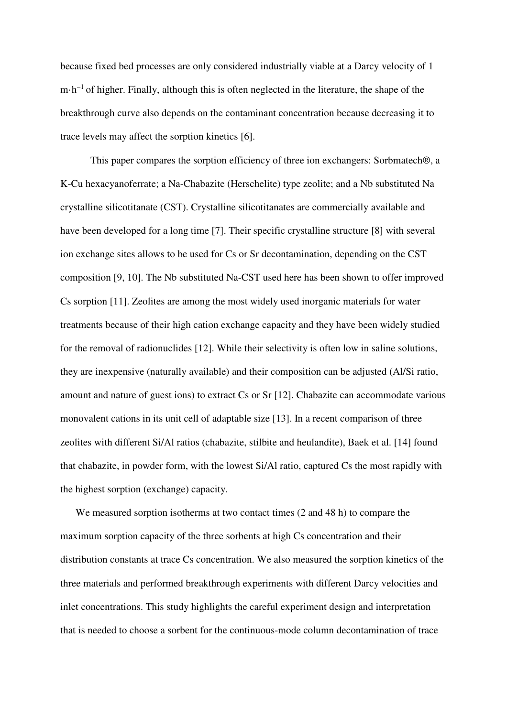because fixed bed processes are only considered industrially viable at a Darcy velocity of 1 m·h−1 of higher. Finally, although this is often neglected in the literature, the shape of the breakthrough curve also depends on the contaminant concentration because decreasing it to trace levels may affect the sorption kinetics [6].

This paper compares the sorption efficiency of three ion exchangers: Sorbmatech®, a K-Cu hexacyanoferrate; a Na-Chabazite (Herschelite) type zeolite; and a Nb substituted Na crystalline silicotitanate (CST). Crystalline silicotitanates are commercially available and have been developed for a long time [7]. Their specific crystalline structure [8] with several ion exchange sites allows to be used for Cs or Sr decontamination, depending on the CST composition [9, 10]. The Nb substituted Na-CST used here has been shown to offer improved Cs sorption [11]. Zeolites are among the most widely used inorganic materials for water treatments because of their high cation exchange capacity and they have been widely studied for the removal of radionuclides [12]. While their selectivity is often low in saline solutions, they are inexpensive (naturally available) and their composition can be adjusted (Al/Si ratio, amount and nature of guest ions) to extract Cs or Sr [12]. Chabazite can accommodate various monovalent cations in its unit cell of adaptable size [13]. In a recent comparison of three zeolites with different Si/Al ratios (chabazite, stilbite and heulandite), Baek et al. [14] found that chabazite, in powder form, with the lowest Si/Al ratio, captured Cs the most rapidly with the highest sorption (exchange) capacity.

We measured sorption isotherms at two contact times (2 and 48 h) to compare the maximum sorption capacity of the three sorbents at high Cs concentration and their distribution constants at trace Cs concentration. We also measured the sorption kinetics of the three materials and performed breakthrough experiments with different Darcy velocities and inlet concentrations. This study highlights the careful experiment design and interpretation that is needed to choose a sorbent for the continuous-mode column decontamination of trace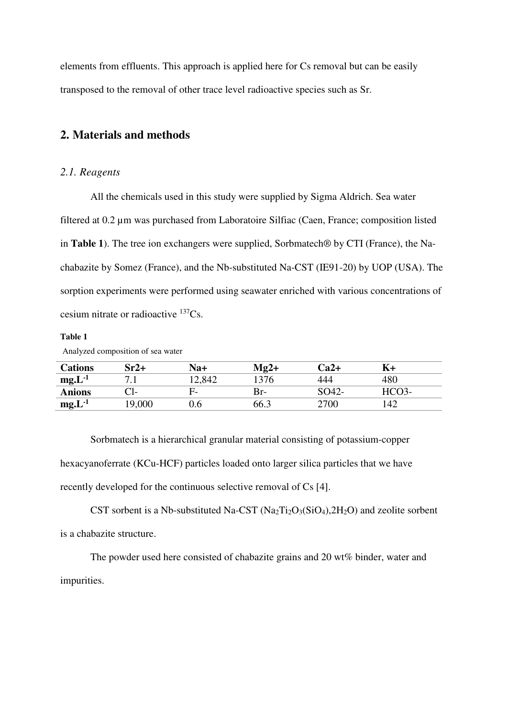elements from effluents. This approach is applied here for Cs removal but can be easily transposed to the removal of other trace level radioactive species such as Sr.

# **2. Materials and methods**

# *2.1. Reagents*

All the chemicals used in this study were supplied by Sigma Aldrich. Sea water filtered at 0.2 µm was purchased from Laboratoire Silfiac (Caen, France; composition listed in **Table 1**). The tree ion exchangers were supplied, Sorbmatech® by CTI (France), the Nachabazite by Somez (France), and the Nb-substituted Na-CST (IE91-20) by UOP (USA). The sorption experiments were performed using seawater enriched with various concentrations of cesium nitrate or radioactive <sup>137</sup>Cs.

#### **Table 1**

Analyzed composition of sea water

| <b>Cations</b> | $Sr2+$ | Na+    | $Mg2+$ | Ca2+  |       |
|----------------|--------|--------|--------|-------|-------|
| $mg.L^{-1}$    | .      | 12,842 | '376   | 444   | 480   |
| <b>Anions</b>  | Cl-    | F-     | Br-    | SO42- | HCO3- |
| $mg.L^{-1}$    | 19,000 | 9.6    | 66.3   | 2700  | 142   |

Sorbmatech is a hierarchical granular material consisting of potassium-copper hexacyanoferrate (KCu-HCF) particles loaded onto larger silica particles that we have recently developed for the continuous selective removal of Cs [4].

CST sorbent is a Nb-substituted Na-CST  $(Na_2Ti_2O_3(SiO_4), 2H_2O)$  and zeolite sorbent is a chabazite structure.

The powder used here consisted of chabazite grains and 20 wt% binder, water and impurities.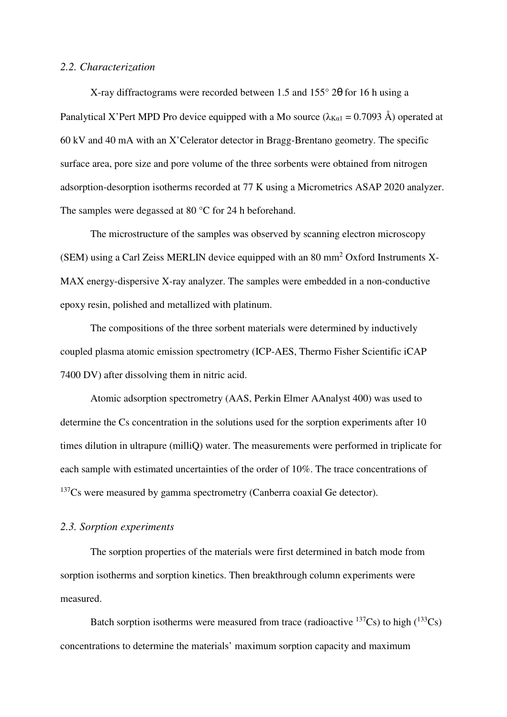#### *2.2. Characterization*

X-ray diffractograms were recorded between 1.5 and 155° 2θ for 16 h using a Panalytical X'Pert MPD Pro device equipped with a Mo source ( $\lambda_{K_{\alpha1}} = 0.7093$  Å) operated at 60 kV and 40 mA with an X'Celerator detector in Bragg-Brentano geometry. The specific surface area, pore size and pore volume of the three sorbents were obtained from nitrogen adsorption-desorption isotherms recorded at 77 K using a Micrometrics ASAP 2020 analyzer. The samples were degassed at 80 °C for 24 h beforehand.

The microstructure of the samples was observed by scanning electron microscopy (SEM) using a Carl Zeiss MERLIN device equipped with an 80 mm<sup>2</sup> Oxford Instruments X-MAX energy-dispersive X-ray analyzer. The samples were embedded in a non-conductive epoxy resin, polished and metallized with platinum.

The compositions of the three sorbent materials were determined by inductively coupled plasma atomic emission spectrometry (ICP-AES, Thermo Fisher Scientific iCAP 7400 DV) after dissolving them in nitric acid.

Atomic adsorption spectrometry (AAS, Perkin Elmer AAnalyst 400) was used to determine the Cs concentration in the solutions used for the sorption experiments after 10 times dilution in ultrapure (milliQ) water. The measurements were performed in triplicate for each sample with estimated uncertainties of the order of 10%. The trace concentrations of  $137Cs$  were measured by gamma spectrometry (Canberra coaxial Ge detector).

## *2.3. Sorption experiments*

The sorption properties of the materials were first determined in batch mode from sorption isotherms and sorption kinetics. Then breakthrough column experiments were measured.

Batch sorption isotherms were measured from trace (radioactive  $^{137}Cs$ ) to high  $(^{133}Cs)$ concentrations to determine the materials' maximum sorption capacity and maximum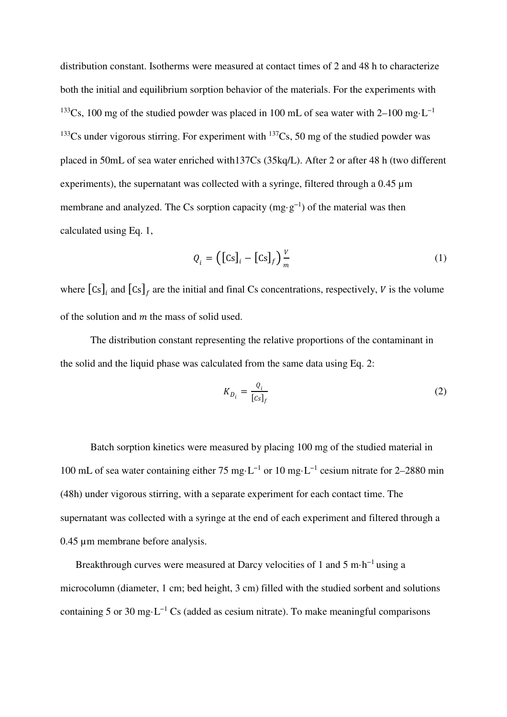distribution constant. Isotherms were measured at contact times of 2 and 48 h to characterize both the initial and equilibrium sorption behavior of the materials. For the experiments with <sup>133</sup>Cs, 100 mg of the studied powder was placed in 100 mL of sea water with 2–100 mg·L<sup>-1</sup> <sup>133</sup>Cs under vigorous stirring. For experiment with <sup>137</sup>Cs, 50 mg of the studied powder was placed in 50mL of sea water enriched with137Cs (35kq/L). After 2 or after 48 h (two different experiments), the supernatant was collected with a syringe, filtered through a 0.45  $\mu$ m membrane and analyzed. The Cs sorption capacity (mg·g−1) of the material was then calculated using Eq. 1,

$$
Q_i = \left( \left[ \text{Cs} \right]_i - \left[ \text{Cs} \right]_f \right)_m^V \tag{1}
$$

where  $\left[\text{Cs}\right]_i$  and  $\left[\text{Cs}\right]_f$  are the initial and final Cs concentrations, respectively, V is the volume of the solution and  $m$  the mass of solid used.

The distribution constant representing the relative proportions of the contaminant in the solid and the liquid phase was calculated from the same data using Eq. 2:

$$
K_{D_i} = \frac{Q_i}{[cs]_f} \tag{2}
$$

Batch sorption kinetics were measured by placing 100 mg of the studied material in 100 mL of sea water containing either 75 mg·L−1 or 10 mg·L−1 cesium nitrate for 2–2880 min (48h) under vigorous stirring, with a separate experiment for each contact time. The supernatant was collected with a syringe at the end of each experiment and filtered through a 0.45 µm membrane before analysis.

Breakthrough curves were measured at Darcy velocities of 1 and 5 m·h−1 using a microcolumn (diameter, 1 cm; bed height, 3 cm) filled with the studied sorbent and solutions containing 5 or 30 mg⋅L<sup>-1</sup> Cs (added as cesium nitrate). To make meaningful comparisons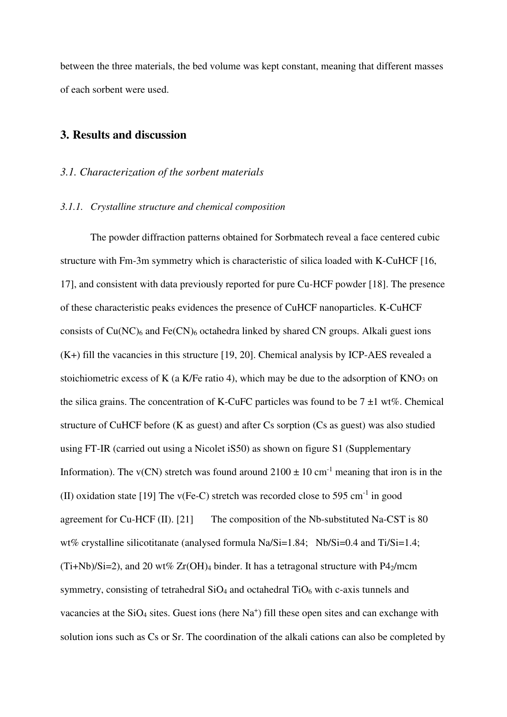between the three materials, the bed volume was kept constant, meaning that different masses of each sorbent were used.

# **3. Results and discussion**

#### *3.1. Characterization of the sorbent materials*

#### *3.1.1. Crystalline structure and chemical composition*

The powder diffraction patterns obtained for Sorbmatech reveal a face centered cubic structure with Fm-3m symmetry which is characteristic of silica loaded with K-CuHCF [16, 17], and consistent with data previously reported for pure Cu-HCF powder [18]. The presence of these characteristic peaks evidences the presence of CuHCF nanoparticles. K-CuHCF consists of  $Cu(NC)$ <sub>6</sub> and Fe(CN)<sub>6</sub> octahedra linked by shared CN groups. Alkali guest ions (K+) fill the vacancies in this structure [19, 20]. Chemical analysis by ICP-AES revealed a stoichiometric excess of K (a K/Fe ratio 4), which may be due to the adsorption of  $KNO<sub>3</sub>$  on the silica grains. The concentration of K-CuFC particles was found to be  $7 \pm 1$  wt%. Chemical structure of CuHCF before (K as guest) and after Cs sorption (Cs as guest) was also studied using FT-IR (carried out using a Nicolet iS50) as shown on figure S1 (Supplementary Information). The v(CN) stretch was found around  $2100 \pm 10$  cm<sup>-1</sup> meaning that iron is in the (II) oxidation state [19] The  $v(Fe-C)$  stretch was recorded close to 595 cm<sup>-1</sup> in good agreement for Cu-HCF (II). [21] The composition of the Nb-substituted Na-CST is 80 wt% crystalline silicotitanate (analysed formula Na/Si=1.84; Nb/Si=0.4 and Ti/Si=1.4;  $(Ti+Nb)/Si=2$ , and 20 wt% Zr(OH)<sub>4</sub> binder. It has a tetragonal structure with P4<sub>2</sub>/mcm symmetry, consisting of tetrahedral SiO<sub>4</sub> and octahedral TiO<sub>6</sub> with c-axis tunnels and vacancies at the SiO<sub>4</sub> sites. Guest ions (here Na<sup>+</sup>) fill these open sites and can exchange with solution ions such as Cs or Sr. The coordination of the alkali cations can also be completed by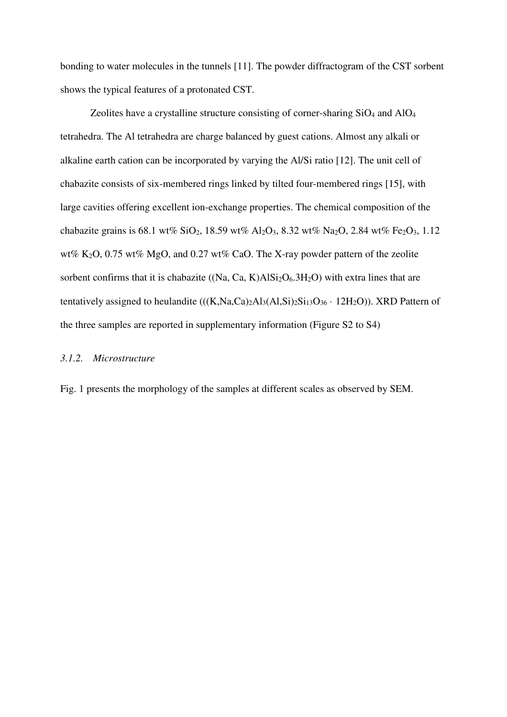bonding to water molecules in the tunnels [11]. The powder diffractogram of the CST sorbent shows the typical features of a protonated CST.

Zeolites have a crystalline structure consisting of corner-sharing SiO4 and AlO<sup>4</sup> tetrahedra. The Al tetrahedra are charge balanced by guest cations. Almost any alkali or alkaline earth cation can be incorporated by varying the Al/Si ratio [12]. The unit cell of chabazite consists of six-membered rings linked by tilted four-membered rings [15], with large cavities offering excellent ion-exchange properties. The chemical composition of the chabazite grains is 68.1 wt% SiO<sub>2</sub>, 18.59 wt% Al<sub>2</sub>O<sub>3</sub>, 8.32 wt% Na<sub>2</sub>O, 2.84 wt% Fe<sub>2</sub>O<sub>3</sub>, 1.12 wt% K2O, 0.75 wt% MgO, and 0.27 wt% CaO. The X-ray powder pattern of the zeolite sorbent confirms that it is chabazite  $((Na, Ca, K)AISi<sub>2</sub>O<sub>6</sub>.3H<sub>2</sub>O)$  with extra lines that are tentatively assigned to heulandite  $(((K,Na,Ca)_{2}Al_{3}(Al,Si)_{2}Si_{13}O_{36} \cdot 12H_{2}O))$ . XRD Pattern of the three samples are reported in supplementary information (Figure S2 to S4)

# *3.1.2. Microstructure*

Fig. 1 presents the morphology of the samples at different scales as observed by SEM.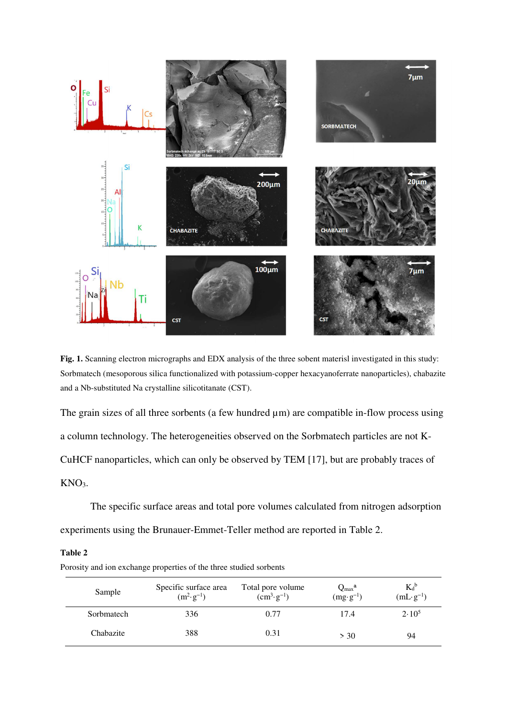

**Fig. 1.** Scanning electron micrographs and EDX analysis of the three sobent materisl investigated in this study: Sorbmatech (mesoporous silica functionalized with potassium-copper hexacyanoferrate nanoparticles), chabazite and a Nb-substituted Na crystalline silicotitanate (CST).

The grain sizes of all three sorbents (a few hundred  $\mu$ m) are compatible in-flow process using a column technology. The heterogeneities observed on the Sorbmatech particles are not K-CuHCF nanoparticles, which can only be observed by TEM [17], but are probably traces of KNO<sub>3</sub>.

The specific surface areas and total pore volumes calculated from nitrogen adsorption experiments using the Brunauer-Emmet-Teller method are reported in Table 2.

#### **Table 2**

| Sample     | Specific surface area<br>$(m^2 \tcdot g^{-1})$ | Total pore volume<br>$(cm^3 \tcdot g^{-1})$ | $Q_{\text{max}}^{\text{a}}$<br>$(mg \cdot g^{-1})$ | $K_d^b$<br>$(mL·g-1)$ |
|------------|------------------------------------------------|---------------------------------------------|----------------------------------------------------|-----------------------|
| Sorbmatech | 336                                            | 0.77                                        | 17.4                                               | 2.10 <sup>5</sup>     |
| Chabazite  | 388                                            | 0.31                                        | > 30                                               | 94                    |

Porosity and ion exchange properties of the three studied sorbents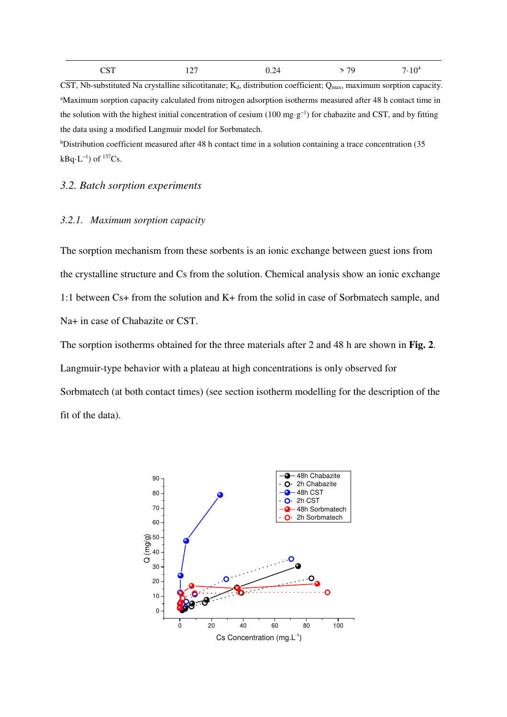| <b>CST</b> | 127<br>.<br>-- | 0.24 | > 79 | 7.10 <sup>4</sup> |
|------------|----------------|------|------|-------------------|
|            |                |      |      |                   |

CST, Nb-substituted Na crystalline silicotitanate;  $K_d$ , distribution coefficient;  $Q_{\text{max}}$ , maximum sorption capacity. <sup>a</sup>Maximum sorption capacity calculated from nitrogen adsorption isotherms measured after 48 h contact time in the solution with the highest initial concentration of cesium (100 mg·g−1) for chabazite and CST, and by fitting the data using a modified Langmuir model for Sorbmatech.

bDistribution coefficient measured after 48 h contact time in a solution containing a trace concentration (35 kBq⋅L<sup>-1</sup>) of  $137$ Cs.

#### *3.2. Batch sorption experiments*

#### *3.2.1. Maximum sorption capacity*

The sorption mechanism from these sorbents is an ionic exchange between guest ions from the crystalline structure and Cs from the solution. Chemical analysis show an ionic exchange 1:1 between Cs+ from the solution and K+ from the solid in case of Sorbmatech sample, and Na+ in case of Chabazite or CST.

The sorption isotherms obtained for the three materials after 2 and 48 h are shown in **Fig. 2**. Langmuir-type behavior with a plateau at high concentrations is only observed for Sorbmatech (at both contact times) (see section isotherm modelling for the description of the fit of the data).

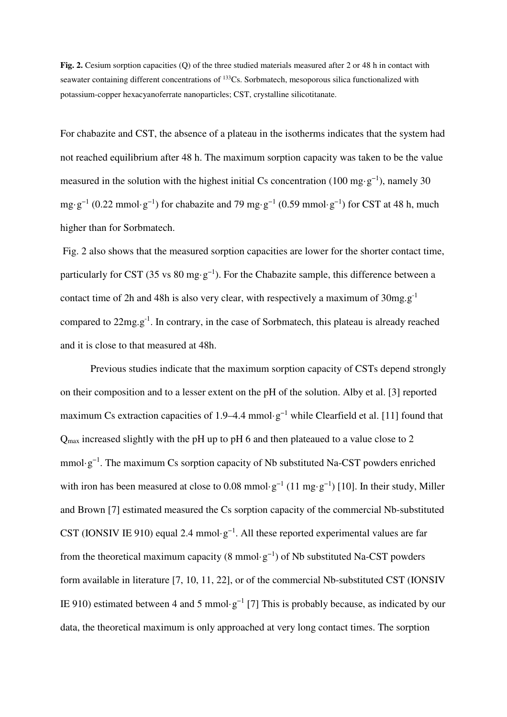**Fig. 2.** Cesium sorption capacities (O) of the three studied materials measured after 2 or 48 h in contact with seawater containing different concentrations of <sup>133</sup>Cs. Sorbmatech, mesoporous silica functionalized with potassium-copper hexacyanoferrate nanoparticles; CST, crystalline silicotitanate.

For chabazite and CST, the absence of a plateau in the isotherms indicates that the system had not reached equilibrium after 48 h. The maximum sorption capacity was taken to be the value measured in the solution with the highest initial Cs concentration (100 mg·g<sup>-1</sup>), namely 30 mg·g<sup>-1</sup> (0.22 mmol·g<sup>-1</sup>) for chabazite and 79 mg·g<sup>-1</sup> (0.59 mmol·g<sup>-1</sup>) for CST at 48 h, much higher than for Sorbmatech.

 Fig. 2 also shows that the measured sorption capacities are lower for the shorter contact time, particularly for CST (35 vs 80 mg·g<sup>-1</sup>). For the Chabazite sample, this difference between a contact time of 2h and 48h is also very clear, with respectively a maximum of  $30mg.g^{-1}$ compared to  $22mg.g^{-1}$ . In contrary, in the case of Sorbmatech, this plateau is already reached and it is close to that measured at 48h.

Previous studies indicate that the maximum sorption capacity of CSTs depend strongly on their composition and to a lesser extent on the pH of the solution. Alby et al. [3] reported maximum Cs extraction capacities of 1.9–4.4 mmol·g<sup>-1</sup> while Clearfield et al. [11] found that Q<sub>max</sub> increased slightly with the pH up to pH 6 and then plateaued to a value close to 2 mmol·g<sup>-1</sup>. The maximum Cs sorption capacity of Nb substituted Na-CST powders enriched with iron has been measured at close to 0.08 mmol·g<sup>-1</sup> (11 mg·g<sup>-1</sup>) [10]. In their study, Miller and Brown [7] estimated measured the Cs sorption capacity of the commercial Nb-substituted CST (IONSIV IE 910) equal 2.4 mmol·g<sup>-1</sup>. All these reported experimental values are far from the theoretical maximum capacity (8 mmol·g<sup>-1</sup>) of Nb substituted Na-CST powders form available in literature [7, 10, 11, 22], or of the commercial Nb-substituted CST (IONSIV IE 910) estimated between 4 and 5 mmol·g<sup>-1</sup> [7] This is probably because, as indicated by our data, the theoretical maximum is only approached at very long contact times. The sorption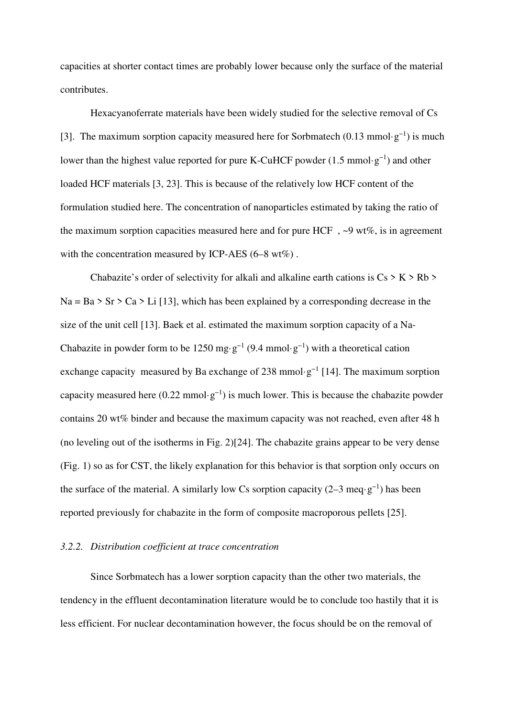capacities at shorter contact times are probably lower because only the surface of the material contributes.

Hexacyanoferrate materials have been widely studied for the selective removal of Cs [3]. The maximum sorption capacity measured here for Sorbmatech (0.13 mmol·g<sup>-1</sup>) is much lower than the highest value reported for pure K-CuHCF powder (1.5 mmol·g−1) and other loaded HCF materials [3, 23]. This is because of the relatively low HCF content of the formulation studied here. The concentration of nanoparticles estimated by taking the ratio of the maximum sorption capacities measured here and for pure HCF,  $\sim$ 9 wt%, is in agreement with the concentration measured by ICP-AES (6–8 wt%).

Chabazite's order of selectivity for alkali and alkaline earth cations is  $Cs > K > Rb$  $Na = Ba > Sr > Ca > Li$  [13], which has been explained by a corresponding decrease in the size of the unit cell [13]. Baek et al. estimated the maximum sorption capacity of a Na-Chabazite in powder form to be 1250 mg·g<sup>-1</sup> (9.4 mmol·g<sup>-1</sup>) with a theoretical cation exchange capacity measured by Ba exchange of 238 mmol·g<sup>-1</sup> [14]. The maximum sorption capacity measured here  $(0.22 \text{ mmol·g}^{-1})$  is much lower. This is because the chabazite powder contains 20 wt% binder and because the maximum capacity was not reached, even after 48 h (no leveling out of the isotherms in Fig. 2)[24]. The chabazite grains appear to be very dense (Fig. 1) so as for CST, the likely explanation for this behavior is that sorption only occurs on the surface of the material. A similarly low Cs sorption capacity (2–3 meq·g<sup>-1</sup>) has been reported previously for chabazite in the form of composite macroporous pellets [25].

#### *3.2.2. Distribution coefficient at trace concentration*

Since Sorbmatech has a lower sorption capacity than the other two materials, the tendency in the effluent decontamination literature would be to conclude too hastily that it is less efficient. For nuclear decontamination however, the focus should be on the removal of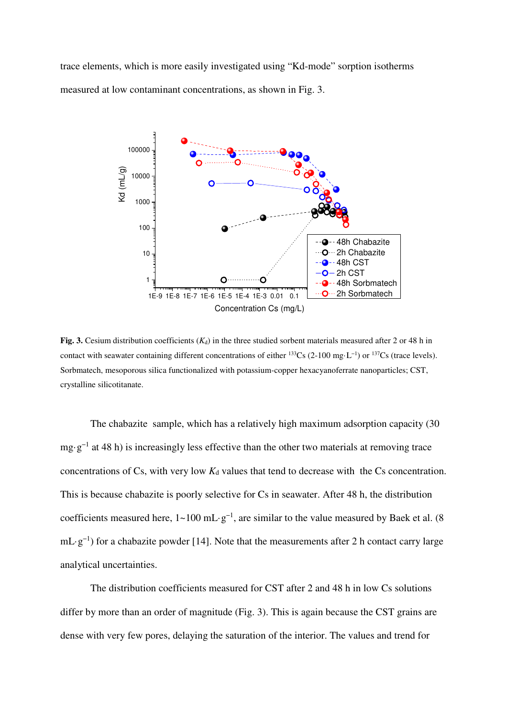trace elements, which is more easily investigated using "Kd-mode" sorption isotherms measured at low contaminant concentrations, as shown in Fig. 3.



**Fig. 3.** Cesium distribution coefficients  $(K_d)$  in the three studied sorbent materials measured after 2 or 48 h in contact with seawater containing different concentrations of either <sup>133</sup>Cs (2-100 mg·L−1) or <sup>137</sup>Cs (trace levels). Sorbmatech, mesoporous silica functionalized with potassium-copper hexacyanoferrate nanoparticles; CST, crystalline silicotitanate.

The chabazite sample, which has a relatively high maximum adsorption capacity (30 mg·g−1 at 48 h) is increasingly less effective than the other two materials at removing trace concentrations of  $Cs$ , with very low  $K_d$  values that tend to decrease with the  $Cs$  concentration. This is because chabazite is poorly selective for Cs in seawater. After 48 h, the distribution coefficients measured here,  $1~100 \text{ mL}\cdot\text{g}^{-1}$ , are similar to the value measured by Baek et al. (8) mL·g−1) for a chabazite powder [14]. Note that the measurements after 2 h contact carry large analytical uncertainties.

The distribution coefficients measured for CST after 2 and 48 h in low Cs solutions differ by more than an order of magnitude (Fig. 3). This is again because the CST grains are dense with very few pores, delaying the saturation of the interior. The values and trend for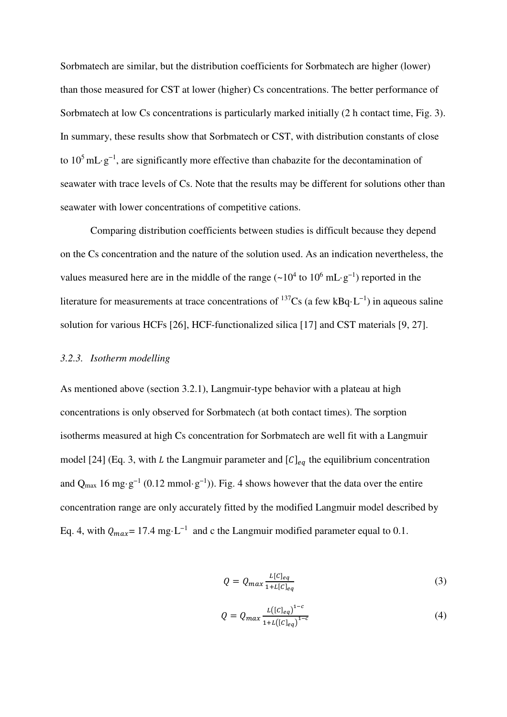Sorbmatech are similar, but the distribution coefficients for Sorbmatech are higher (lower) than those measured for CST at lower (higher) Cs concentrations. The better performance of Sorbmatech at low Cs concentrations is particularly marked initially (2 h contact time, Fig. 3). In summary, these results show that Sorbmatech or CST, with distribution constants of close to  $10^5$  mL·g<sup>-1</sup>, are significantly more effective than chabazite for the decontamination of seawater with trace levels of Cs. Note that the results may be different for solutions other than seawater with lower concentrations of competitive cations.

Comparing distribution coefficients between studies is difficult because they depend on the Cs concentration and the nature of the solution used. As an indication nevertheless, the values measured here are in the middle of the range  $({\sim}10^4$  to  $10^6$  mL·g<sup>-1</sup>) reported in the literature for measurements at trace concentrations of  $137Cs$  (a few kBq·L<sup>-1</sup>) in aqueous saline solution for various HCFs [26], HCF-functionalized silica [17] and CST materials [9, 27].

# *3.2.3. Isotherm modelling*

As mentioned above (section 3.2.1), Langmuir-type behavior with a plateau at high concentrations is only observed for Sorbmatech (at both contact times). The sorption isotherms measured at high Cs concentration for Sorbmatech are well fit with a Langmuir model [24] (Eq. 3, with *L* the Langmuir parameter and  $\lbrack C \rbrack_{eq}$  the equilibrium concentration and Q<sub>max</sub> 16 mg·g<sup>-1</sup> (0.12 mmol·g<sup>-1</sup>)). Fig. 4 shows however that the data over the entire concentration range are only accurately fitted by the modified Langmuir model described by Eq. 4, with  $Q_{max} = 17.4$  mg·L<sup>-1</sup> and c the Langmuir modified parameter equal to 0.1.

$$
Q = Q_{max} \frac{L[C]_{eq}}{1 + L[C]_{eq}} \tag{3}
$$

$$
Q = Q_{max} \frac{L([C]_{eq})^{1-c}}{1 + L([C]_{eq})^{1-c}}
$$
(4)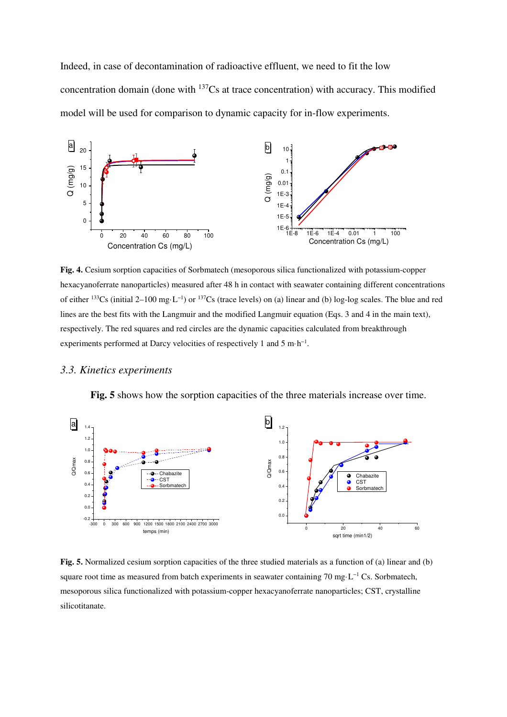Indeed, in case of decontamination of radioactive effluent, we need to fit the low concentration domain (done with  $137Cs$  at trace concentration) with accuracy. This modified model will be used for comparison to dynamic capacity for in-flow experiments.



**Fig. 4.** Cesium sorption capacities of Sorbmatech (mesoporous silica functionalized with potassium-copper hexacyanoferrate nanoparticles) measured after 48 h in contact with seawater containing different concentrations of either <sup>133</sup>Cs (initial 2–100 mg·L−1) or <sup>137</sup>Cs (trace levels) on (a) linear and (b) log-log scales. The blue and red lines are the best fits with the Langmuir and the modified Langmuir equation (Eqs. 3 and 4 in the main text), respectively. The red squares and red circles are the dynamic capacities calculated from breakthrough experiments performed at Darcy velocities of respectively 1 and 5 m⋅h<sup>-1</sup>.

#### *3.3. Kinetics experiments*



**Fig. 5** shows how the sorption capacities of the three materials increase over time.

**Fig. 5.** Normalized cesium sorption capacities of the three studied materials as a function of (a) linear and (b) square root time as measured from batch experiments in seawater containing 70 mg·L<sup>−1</sup> Cs. Sorbmatech, mesoporous silica functionalized with potassium-copper hexacyanoferrate nanoparticles; CST, crystalline silicotitanate.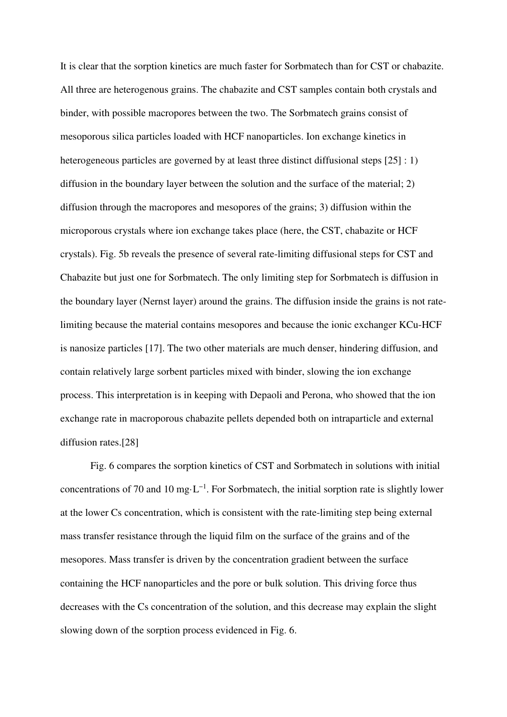It is clear that the sorption kinetics are much faster for Sorbmatech than for CST or chabazite. All three are heterogenous grains. The chabazite and CST samples contain both crystals and binder, with possible macropores between the two. The Sorbmatech grains consist of mesoporous silica particles loaded with HCF nanoparticles. Ion exchange kinetics in heterogeneous particles are governed by at least three distinct diffusional steps [25] : 1) diffusion in the boundary layer between the solution and the surface of the material; 2) diffusion through the macropores and mesopores of the grains; 3) diffusion within the microporous crystals where ion exchange takes place (here, the CST, chabazite or HCF crystals). Fig. 5b reveals the presence of several rate-limiting diffusional steps for CST and Chabazite but just one for Sorbmatech. The only limiting step for Sorbmatech is diffusion in the boundary layer (Nernst layer) around the grains. The diffusion inside the grains is not ratelimiting because the material contains mesopores and because the ionic exchanger KCu-HCF is nanosize particles [17]. The two other materials are much denser, hindering diffusion, and contain relatively large sorbent particles mixed with binder, slowing the ion exchange process. This interpretation is in keeping with Depaoli and Perona, who showed that the ion exchange rate in macroporous chabazite pellets depended both on intraparticle and external diffusion rates.[28]

Fig. 6 compares the sorption kinetics of CST and Sorbmatech in solutions with initial concentrations of 70 and 10 mg⋅L<sup>-1</sup>. For Sorbmatech, the initial sorption rate is slightly lower at the lower Cs concentration, which is consistent with the rate-limiting step being external mass transfer resistance through the liquid film on the surface of the grains and of the mesopores. Mass transfer is driven by the concentration gradient between the surface containing the HCF nanoparticles and the pore or bulk solution. This driving force thus decreases with the Cs concentration of the solution, and this decrease may explain the slight slowing down of the sorption process evidenced in Fig. 6.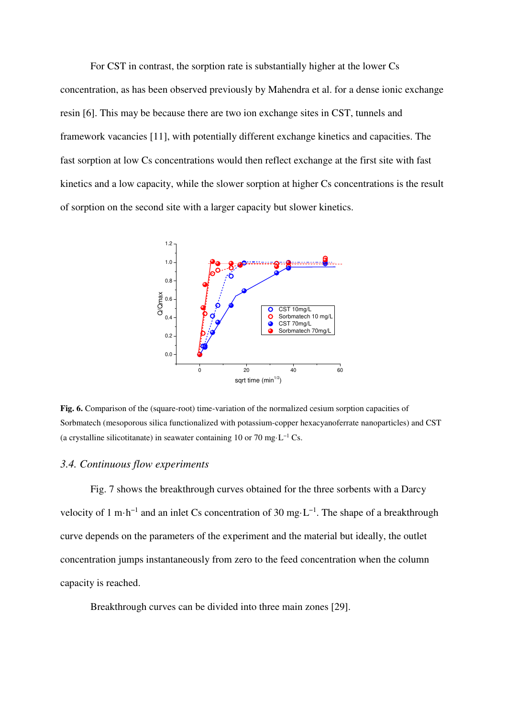For CST in contrast, the sorption rate is substantially higher at the lower Cs concentration, as has been observed previously by Mahendra et al. for a dense ionic exchange resin [6]. This may be because there are two ion exchange sites in CST, tunnels and framework vacancies [11], with potentially different exchange kinetics and capacities. The fast sorption at low Cs concentrations would then reflect exchange at the first site with fast kinetics and a low capacity, while the slower sorption at higher Cs concentrations is the result of sorption on the second site with a larger capacity but slower kinetics.



**Fig. 6.** Comparison of the (square-root) time-variation of the normalized cesium sorption capacities of Sorbmatech (mesoporous silica functionalized with potassium-copper hexacyanoferrate nanoparticles) and CST (a crystalline silicotitanate) in seawater containing 10 or 70 mg⋅L<sup>-1</sup> Cs.

#### *3.4. Continuous flow experiments*

Fig. 7 shows the breakthrough curves obtained for the three sorbents with a Darcy velocity of 1 m·h<sup>-1</sup> and an inlet Cs concentration of 30 mg·L<sup>-1</sup>. The shape of a breakthrough curve depends on the parameters of the experiment and the material but ideally, the outlet concentration jumps instantaneously from zero to the feed concentration when the column capacity is reached.

Breakthrough curves can be divided into three main zones [29].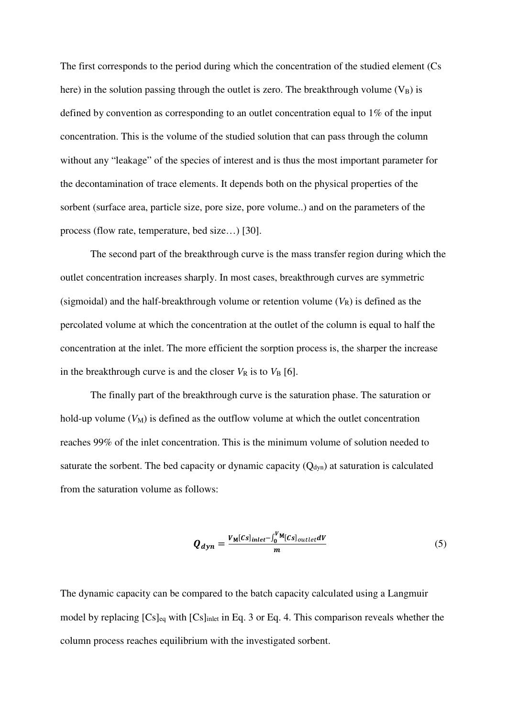The first corresponds to the period during which the concentration of the studied element (Cs here) in the solution passing through the outlet is zero. The breakthrough volume  $(V_B)$  is defined by convention as corresponding to an outlet concentration equal to 1% of the input concentration. This is the volume of the studied solution that can pass through the column without any "leakage" of the species of interest and is thus the most important parameter for the decontamination of trace elements. It depends both on the physical properties of the sorbent (surface area, particle size, pore size, pore volume..) and on the parameters of the process (flow rate, temperature, bed size…) [30].

The second part of the breakthrough curve is the mass transfer region during which the outlet concentration increases sharply. In most cases, breakthrough curves are symmetric (sigmoidal) and the half-breakthrough volume or retention volume  $(V_R)$  is defined as the percolated volume at which the concentration at the outlet of the column is equal to half the concentration at the inlet. The more efficient the sorption process is, the sharper the increase in the breakthrough curve is and the closer  $V_R$  is to  $V_B$  [6].

The finally part of the breakthrough curve is the saturation phase. The saturation or hold-up volume  $(V_M)$  is defined as the outflow volume at which the outlet concentration reaches 99% of the inlet concentration. This is the minimum volume of solution needed to saturate the sorbent. The bed capacity or dynamic capacity  $(O_{dyn})$  at saturation is calculated from the saturation volume as follows:

$$
Q_{dyn} = \frac{V_{M}[Cs]_{inlet} - \int_{0}^{V_{M}}[Cs]_{outlet}dV}{m}
$$
 (5)

The dynamic capacity can be compared to the batch capacity calculated using a Langmuir model by replacing [Cs]eq with [Cs]inlet in Eq. 3 or Eq. 4. This comparison reveals whether the column process reaches equilibrium with the investigated sorbent.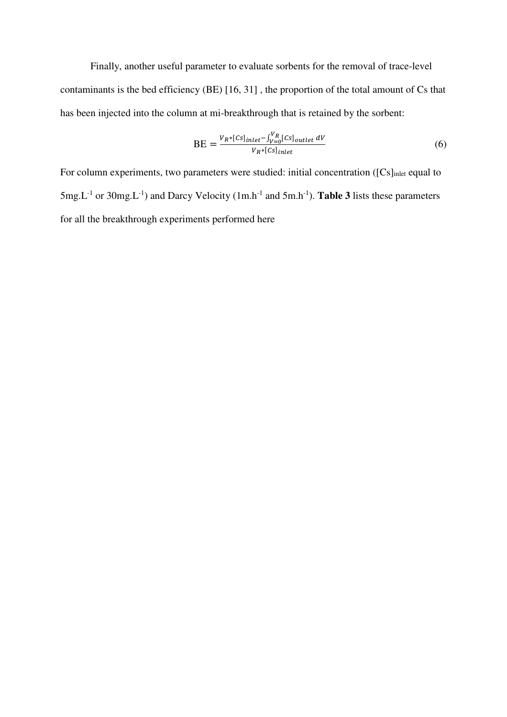Finally, another useful parameter to evaluate sorbents for the removal of trace-level contaminants is the bed efficiency (BE) [16, 31] , the proportion of the total amount of Cs that has been injected into the column at mi-breakthrough that is retained by the sorbent:

$$
BE = \frac{V_R * [Cs]_{inlet} - \int_{V=0}^{V_R} [Cs]_{outlet} \, dV}{V_R * [Cs]_{inlet}} \tag{6}
$$

For column experiments, two parameters were studied: initial concentration ([Cs]<sub>inlet</sub> equal to  $5mg.L^{-1}$  or  $30mg.L^{-1}$ ) and Darcy Velocity (1m.h<sup>-1</sup> and  $5m.h^{-1}$ ). **Table 3** lists these parameters for all the breakthrough experiments performed here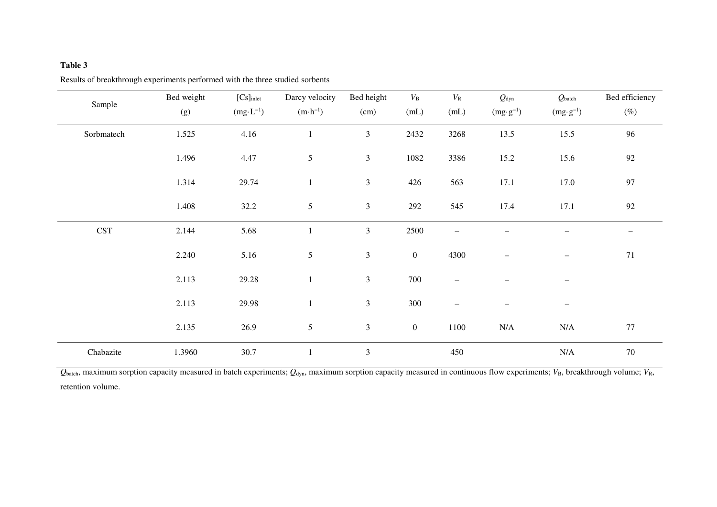#### **Table 3**

| Sample     | Bed weight | $[Cs]_{\text{inlet}}$ | Darcy velocity     | Bed height     | $V_{\rm B}$      | $V_{\rm R}$              | $Q_{\text{dyn}}$         | $Q_{\text{batch}}$       | Bed efficiency |
|------------|------------|-----------------------|--------------------|----------------|------------------|--------------------------|--------------------------|--------------------------|----------------|
|            | (g)        | $(mg \cdot L^{-1})$   | $(m \cdot h^{-1})$ | (cm)           | (mL)             | (mL)                     | $(mg \cdot g^{-1})$      | $(mg \cdot g^{-1})$      | $(\%)$         |
| Sorbmatech | 1.525      | 4.16                  |                    | $\overline{3}$ | 2432             | 3268                     | 13.5                     | 15.5                     | 96             |
|            | 1.496      | 4.47                  | 5                  | $\overline{3}$ | 1082             | 3386                     | 15.2                     | 15.6                     | 92             |
|            | 1.314      | 29.74                 | $\mathbf{1}$       | $\mathfrak{Z}$ | 426              | 563                      | 17.1                     | 17.0                     | 97             |
|            | 1.408      | 32.2                  | $\mathfrak{S}$     | $\mathfrak{Z}$ | 292              | 545                      | 17.4                     | 17.1                     | $92\,$         |
| <b>CST</b> | 2.144      | 5.68                  |                    | $\overline{3}$ | 2500             |                          |                          |                          |                |
|            | 2.240      | 5.16                  | $\sqrt{5}$         | $\mathfrak{Z}$ | $\boldsymbol{0}$ | 4300                     | $\overline{\phantom{0}}$ | $\overline{\phantom{m}}$ | 71             |
|            | 2.113      | 29.28                 | $\mathbf{1}$       | $\mathfrak{Z}$ | 700              | $\overline{\phantom{0}}$ | $\overline{\phantom{0}}$ | $\overline{\phantom{m}}$ |                |
|            | 2.113      | 29.98                 |                    | $\overline{3}$ | 300              | $\overline{\phantom{0}}$ |                          |                          |                |
|            | 2.135      | 26.9                  | $\mathfrak{S}$     | 3              | $\boldsymbol{0}$ | 1100                     | N/A                      | N/A                      | 77             |
| Chabazite  | 1.3960     | 30.7                  | $\mathbf{1}$       | $\overline{3}$ |                  | 450                      |                          | $\rm N/A$                | 70             |

Results of breakthrough experiments performed with the three studied sorbents

 $Q_{\text{batch}}$ , maximum sorption capacity measured in batch experiments;  $Q_{\text{dyn}}$ , maximum sorption capacity measured in continuous flow experiments;  $V_{\text{B}}$ , breakthrough volume;  $V_{\text{R}}$ , retention volume.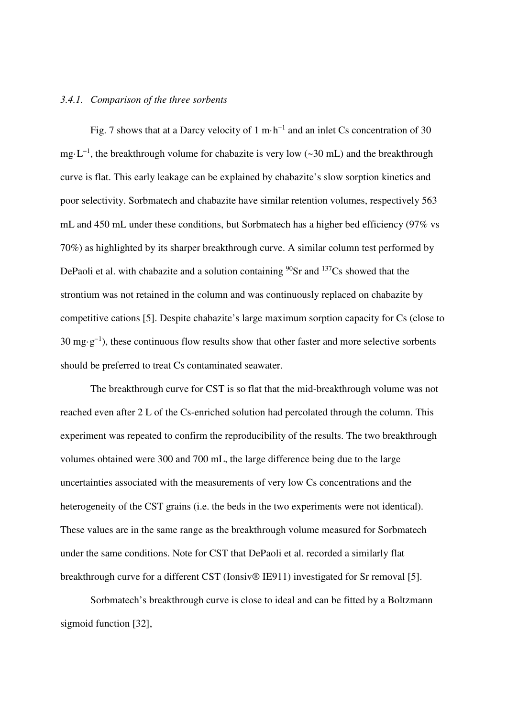#### *3.4.1. Comparison of the three sorbents*

Fig. 7 shows that at a Darcy velocity of 1 m·h−1 and an inlet Cs concentration of 30 mg·L<sup>-1</sup>, the breakthrough volume for chabazite is very low (~30 mL) and the breakthrough curve is flat. This early leakage can be explained by chabazite's slow sorption kinetics and poor selectivity. Sorbmatech and chabazite have similar retention volumes, respectively 563 mL and 450 mL under these conditions, but Sorbmatech has a higher bed efficiency (97% vs 70%) as highlighted by its sharper breakthrough curve. A similar column test performed by DePaoli et al. with chabazite and a solution containing  $^{90}Sr$  and  $^{137}Cs$  showed that the strontium was not retained in the column and was continuously replaced on chabazite by competitive cations [5]. Despite chabazite's large maximum sorption capacity for Cs (close to 30 mg·g<sup>-1</sup>), these continuous flow results show that other faster and more selective sorbents should be preferred to treat Cs contaminated seawater.

The breakthrough curve for CST is so flat that the mid-breakthrough volume was not reached even after 2 L of the Cs-enriched solution had percolated through the column. This experiment was repeated to confirm the reproducibility of the results. The two breakthrough volumes obtained were 300 and 700 mL, the large difference being due to the large uncertainties associated with the measurements of very low Cs concentrations and the heterogeneity of the CST grains (i.e. the beds in the two experiments were not identical). These values are in the same range as the breakthrough volume measured for Sorbmatech under the same conditions. Note for CST that DePaoli et al. recorded a similarly flat breakthrough curve for a different CST (Ionsiv® IE911) investigated for Sr removal [5].

Sorbmatech's breakthrough curve is close to ideal and can be fitted by a Boltzmann sigmoid function [32],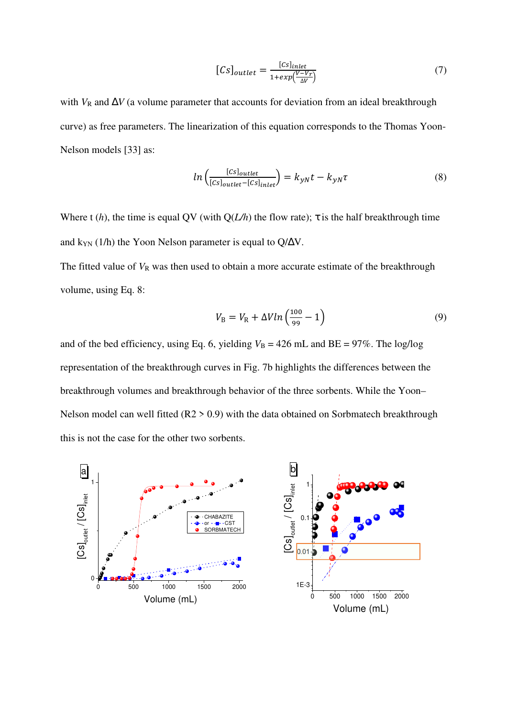$$
[Cs]_{outlet} = \frac{[cs]_{inlet}}{1 + exp(\frac{V - V_r}{\Delta V})}
$$
(7)

with  $V_R$  and  $\Delta V$  (a volume parameter that accounts for deviation from an ideal breakthrough curve) as free parameters. The linearization of this equation corresponds to the Thomas Yoon-Nelson models [33] as:

$$
ln\left(\frac{[Cs]_{outlet}}{[cs]_{outlet} - [Cs]_{inlet}}\right) = k_{yN}t - k_{yN}\tau
$$
\n(8)

Where t (*h*), the time is equal QV (with  $Q(L/h)$  the flow rate);  $\tau$  is the half breakthrough time and k<sub>YN</sub> (1/h) the Yoon Nelson parameter is equal to Q/ $\Delta V$ .

The fitted value of  $V_R$  was then used to obtain a more accurate estimate of the breakthrough volume, using Eq. 8:

$$
V_{\rm B} = V_{\rm R} + \Delta V \ln \left( \frac{100}{99} - 1 \right) \tag{9}
$$

and of the bed efficiency, using Eq. 6, yielding  $V_B = 426$  mL and BE =  $97\%$ . The log/log representation of the breakthrough curves in Fig. 7b highlights the differences between the breakthrough volumes and breakthrough behavior of the three sorbents. While the Yoon– Nelson model can well fitted (R2 > 0.9) with the data obtained on Sorbmatech breakthrough this is not the case for the other two sorbents.

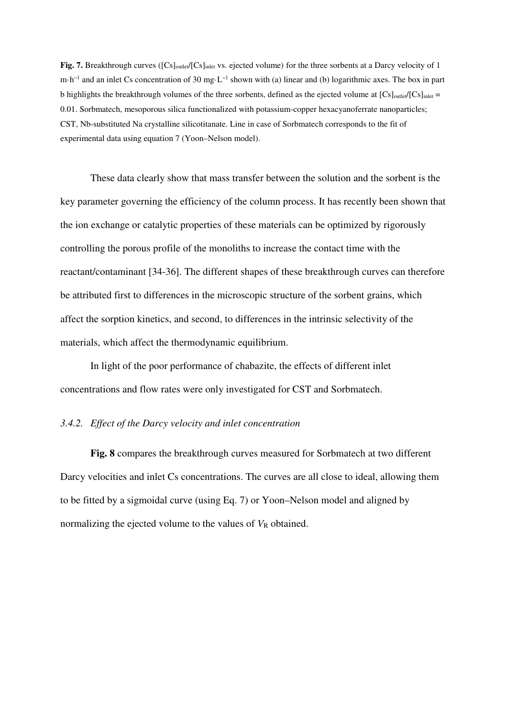Fig. 7. Breakthrough curves ([Cs]<sub>outlet</sub>/[Cs]<sub>inlet</sub> vs. ejected volume) for the three sorbents at a Darcy velocity of 1 m·h−1 and an inlet Cs concentration of 30 mg·L−1 shown with (a) linear and (b) logarithmic axes. The box in part b highlights the breakthrough volumes of the three sorbents, defined as the ejected volume at  $[Cs]_{\text{outlet}}/[Cs]_{\text{inlet}} =$ 0.01. Sorbmatech, mesoporous silica functionalized with potassium-copper hexacyanoferrate nanoparticles; CST, Nb-substituted Na crystalline silicotitanate. Line in case of Sorbmatech corresponds to the fit of experimental data using equation 7 (Yoon–Nelson model).

These data clearly show that mass transfer between the solution and the sorbent is the key parameter governing the efficiency of the column process. It has recently been shown that the ion exchange or catalytic properties of these materials can be optimized by rigorously controlling the porous profile of the monoliths to increase the contact time with the reactant/contaminant [34-36]. The different shapes of these breakthrough curves can therefore be attributed first to differences in the microscopic structure of the sorbent grains, which affect the sorption kinetics, and second, to differences in the intrinsic selectivity of the materials, which affect the thermodynamic equilibrium.

In light of the poor performance of chabazite, the effects of different inlet concentrations and flow rates were only investigated for CST and Sorbmatech.

#### *3.4.2. Effect of the Darcy velocity and inlet concentration*

**Fig. 8** compares the breakthrough curves measured for Sorbmatech at two different Darcy velocities and inlet Cs concentrations. The curves are all close to ideal, allowing them to be fitted by a sigmoidal curve (using Eq. 7) or Yoon–Nelson model and aligned by normalizing the ejected volume to the values of  $V_R$  obtained.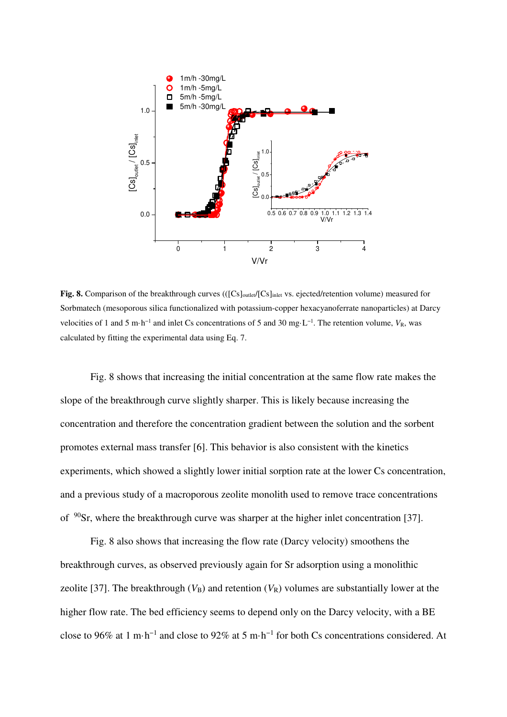

Fig. 8. Comparison of the breakthrough curves (([Cs]<sub>outlet</sub>/[Cs]<sub>inlet</sub> vs. ejected/retention volume) measured for Sorbmatech (mesoporous silica functionalized with potassium-copper hexacyanoferrate nanoparticles) at Darcy velocities of 1 and 5 m·h−1 and inlet Cs concentrations of 5 and 30 mg·L−1. The retention volume, *V*R, was calculated by fitting the experimental data using Eq. 7.

Fig. 8 shows that increasing the initial concentration at the same flow rate makes the slope of the breakthrough curve slightly sharper. This is likely because increasing the concentration and therefore the concentration gradient between the solution and the sorbent promotes external mass transfer [6]. This behavior is also consistent with the kinetics experiments, which showed a slightly lower initial sorption rate at the lower Cs concentration, and a previous study of a macroporous zeolite monolith used to remove trace concentrations of <sup>90</sup>Sr, where the breakthrough curve was sharper at the higher inlet concentration [37].

Fig. 8 also shows that increasing the flow rate (Darcy velocity) smoothens the breakthrough curves, as observed previously again for Sr adsorption using a monolithic zeolite [37]. The breakthrough  $(V_B)$  and retention  $(V_R)$  volumes are substantially lower at the higher flow rate. The bed efficiency seems to depend only on the Darcy velocity, with a BE close to 96% at 1 m·h−1 and close to 92% at 5 m·h−1 for both Cs concentrations considered. At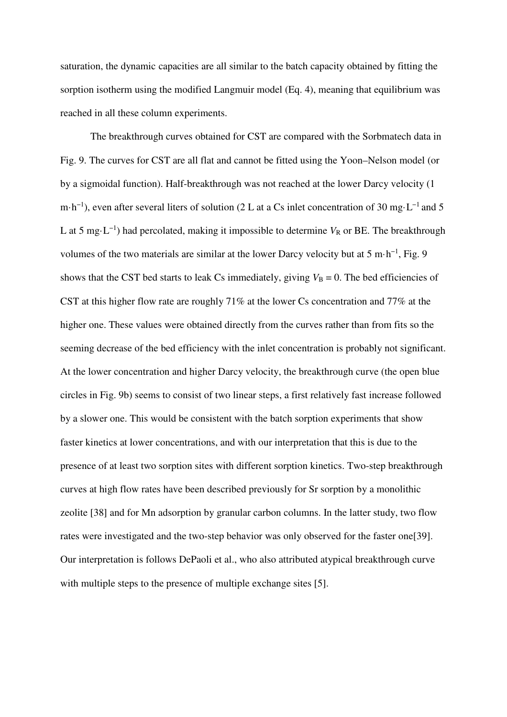saturation, the dynamic capacities are all similar to the batch capacity obtained by fitting the sorption isotherm using the modified Langmuir model (Eq. 4), meaning that equilibrium was reached in all these column experiments.

The breakthrough curves obtained for CST are compared with the Sorbmatech data in Fig. 9. The curves for CST are all flat and cannot be fitted using the Yoon–Nelson model (or by a sigmoidal function). Half-breakthrough was not reached at the lower Darcy velocity (1 m⋅h<sup>-1</sup>), even after several liters of solution (2 L at a Cs inlet concentration of 30 mg⋅L<sup>-1</sup> and 5 L at 5 mg·L<sup>-1</sup>) had percolated, making it impossible to determine  $V_R$  or BE. The breakthrough volumes of the two materials are similar at the lower Darcy velocity but at 5 m·h<sup>-1</sup>, Fig. 9 shows that the CST bed starts to leak Cs immediately, giving  $V_B = 0$ . The bed efficiencies of CST at this higher flow rate are roughly 71% at the lower Cs concentration and 77% at the higher one. These values were obtained directly from the curves rather than from fits so the seeming decrease of the bed efficiency with the inlet concentration is probably not significant. At the lower concentration and higher Darcy velocity, the breakthrough curve (the open blue circles in Fig. 9b) seems to consist of two linear steps, a first relatively fast increase followed by a slower one. This would be consistent with the batch sorption experiments that show faster kinetics at lower concentrations, and with our interpretation that this is due to the presence of at least two sorption sites with different sorption kinetics. Two-step breakthrough curves at high flow rates have been described previously for Sr sorption by a monolithic zeolite [38] and for Mn adsorption by granular carbon columns. In the latter study, two flow rates were investigated and the two-step behavior was only observed for the faster one[39]. Our interpretation is follows DePaoli et al., who also attributed atypical breakthrough curve with multiple steps to the presence of multiple exchange sites [5].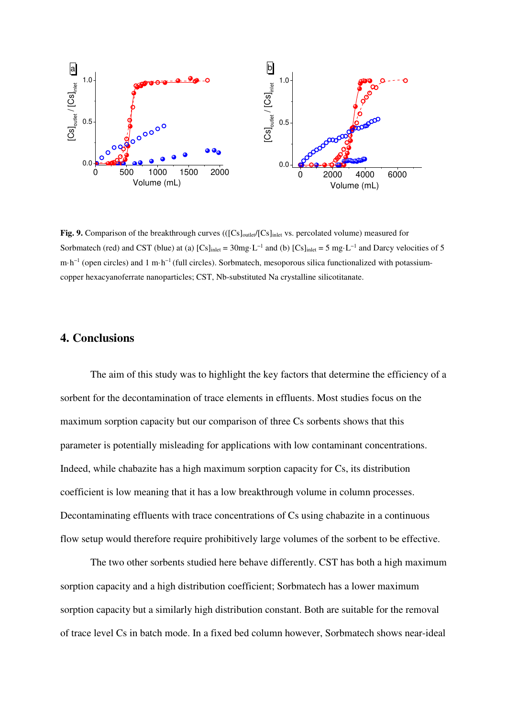

**Fig. 9.** Comparison of the breakthrough curves (([Cs]<sub>outlet</sub>/[Cs]<sub>inlet</sub> vs. percolated volume) measured for Sorbmatech (red) and CST (blue) at (a)  $[Cs]_{\text{inlet}} = 30$  mg⋅L<sup>-1</sup> and (b)  $[Cs]_{\text{inlet}} = 5$  mg⋅L<sup>-1</sup> and Darcy velocities of 5 m·h<sup>-1</sup> (open circles) and 1 m·h<sup>-1</sup> (full circles). Sorbmatech, mesoporous silica functionalized with potassiumcopper hexacyanoferrate nanoparticles; CST, Nb-substituted Na crystalline silicotitanate.

# **4. Conclusions**

The aim of this study was to highlight the key factors that determine the efficiency of a sorbent for the decontamination of trace elements in effluents. Most studies focus on the maximum sorption capacity but our comparison of three Cs sorbents shows that this parameter is potentially misleading for applications with low contaminant concentrations. Indeed, while chabazite has a high maximum sorption capacity for Cs, its distribution coefficient is low meaning that it has a low breakthrough volume in column processes. Decontaminating effluents with trace concentrations of Cs using chabazite in a continuous flow setup would therefore require prohibitively large volumes of the sorbent to be effective.

The two other sorbents studied here behave differently. CST has both a high maximum sorption capacity and a high distribution coefficient; Sorbmatech has a lower maximum sorption capacity but a similarly high distribution constant. Both are suitable for the removal of trace level Cs in batch mode. In a fixed bed column however, Sorbmatech shows near-ideal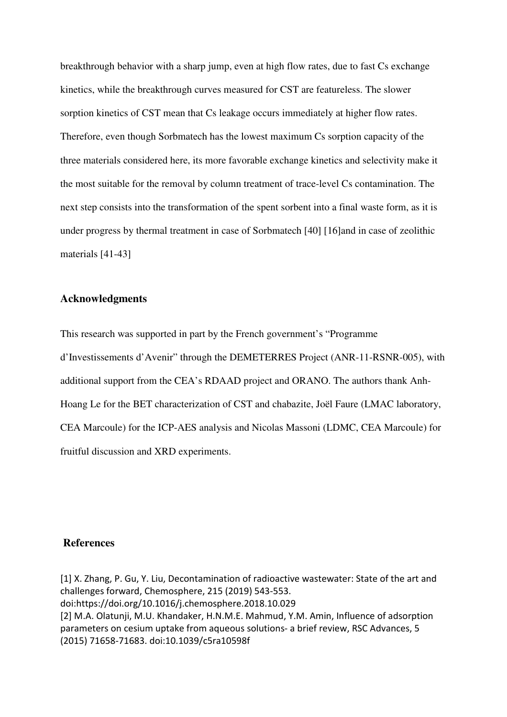breakthrough behavior with a sharp jump, even at high flow rates, due to fast Cs exchange kinetics, while the breakthrough curves measured for CST are featureless. The slower sorption kinetics of CST mean that Cs leakage occurs immediately at higher flow rates. Therefore, even though Sorbmatech has the lowest maximum Cs sorption capacity of the three materials considered here, its more favorable exchange kinetics and selectivity make it the most suitable for the removal by column treatment of trace-level Cs contamination. The next step consists into the transformation of the spent sorbent into a final waste form, as it is under progress by thermal treatment in case of Sorbmatech [40] [16]and in case of zeolithic materials [41-43]

#### **Acknowledgments**

This research was supported in part by the French government's "Programme d'Investissements d'Avenir" through the DEMETERRES Project (ANR-11-RSNR-005), with additional support from the CEA's RDAAD project and ORANO. The authors thank Anh-Hoang Le for the BET characterization of CST and chabazite, Joël Faure (LMAC laboratory, CEA Marcoule) for the ICP-AES analysis and Nicolas Massoni (LDMC, CEA Marcoule) for fruitful discussion and XRD experiments.

#### **References**

[1] X. Zhang, P. Gu, Y. Liu, Decontamination of radioactive wastewater: State of the art and challenges forward, Chemosphere, 215 (2019) 543-553. doi:https://doi.org/10.1016/j.chemosphere.2018.10.029 [2] M.A. Olatunji, M.U. Khandaker, H.N.M.E. Mahmud, Y.M. Amin, Influence of adsorption parameters on cesium uptake from aqueous solutions- a brief review, RSC Advances, 5 (2015) 71658-71683. doi:10.1039/c5ra10598f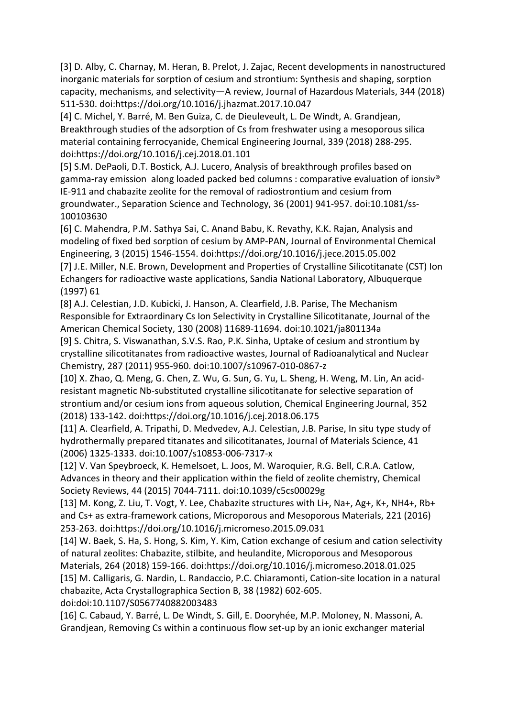[3] D. Alby, C. Charnay, M. Heran, B. Prelot, J. Zajac, Recent developments in nanostructured inorganic materials for sorption of cesium and strontium: Synthesis and shaping, sorption capacity, mechanisms, and selectivity—A review, Journal of Hazardous Materials, 344 (2018) 511-530. doi:https://doi.org/10.1016/j.jhazmat.2017.10.047

[4] C. Michel, Y. Barré, M. Ben Guiza, C. de Dieuleveult, L. De Windt, A. Grandjean, Breakthrough studies of the adsorption of Cs from freshwater using a mesoporous silica material containing ferrocyanide, Chemical Engineering Journal, 339 (2018) 288-295. doi:https://doi.org/10.1016/j.cej.2018.01.101

[5] S.M. DePaoli, D.T. Bostick, A.J. Lucero, Analysis of breakthrough profiles based on gamma-ray emission along loaded packed bed columns : comparative evaluation of ionsiv® IE-911 and chabazite zeolite for the removal of radiostrontium and cesium from groundwater., Separation Science and Technology, 36 (2001) 941-957. doi:10.1081/ss-100103630

[6] C. Mahendra, P.M. Sathya Sai, C. Anand Babu, K. Revathy, K.K. Rajan, Analysis and modeling of fixed bed sorption of cesium by AMP-PAN, Journal of Environmental Chemical Engineering, 3 (2015) 1546-1554. doi:https://doi.org/10.1016/j.jece.2015.05.002 [7] J.E. Miller, N.E. Brown, Development and Properties of Crystalline Silicotitanate (CST) Ion Echangers for radioactive waste applications, Sandia National Laboratory, Albuquerque (1997) 61

[8] A.J. Celestian, J.D. Kubicki, J. Hanson, A. Clearfield, J.B. Parise, The Mechanism Responsible for Extraordinary Cs Ion Selectivity in Crystalline Silicotitanate, Journal of the American Chemical Society, 130 (2008) 11689-11694. doi:10.1021/ja801134a [9] S. Chitra, S. Viswanathan, S.V.S. Rao, P.K. Sinha, Uptake of cesium and strontium by crystalline silicotitanates from radioactive wastes, Journal of Radioanalytical and Nuclear

Chemistry, 287 (2011) 955-960. doi:10.1007/s10967-010-0867-z [10] X. Zhao, Q. Meng, G. Chen, Z. Wu, G. Sun, G. Yu, L. Sheng, H. Weng, M. Lin, An acidresistant magnetic Nb-substituted crystalline silicotitanate for selective separation of strontium and/or cesium ions from aqueous solution, Chemical Engineering Journal, 352 (2018) 133-142. doi:https://doi.org/10.1016/j.cej.2018.06.175

[11] A. Clearfield, A. Tripathi, D. Medvedev, A.J. Celestian, J.B. Parise, In situ type study of hydrothermally prepared titanates and silicotitanates, Journal of Materials Science, 41 (2006) 1325-1333. doi:10.1007/s10853-006-7317-x

[12] V. Van Speybroeck, K. Hemelsoet, L. Joos, M. Waroquier, R.G. Bell, C.R.A. Catlow, Advances in theory and their application within the field of zeolite chemistry, Chemical Society Reviews, 44 (2015) 7044-7111. doi:10.1039/c5cs00029g

[13] M. Kong, Z. Liu, T. Vogt, Y. Lee, Chabazite structures with Li+, Na+, Ag+, K+, NH4+, Rb+ and Cs+ as extra-framework cations, Microporous and Mesoporous Materials, 221 (2016) 253-263. doi:https://doi.org/10.1016/j.micromeso.2015.09.031

[14] W. Baek, S. Ha, S. Hong, S. Kim, Y. Kim, Cation exchange of cesium and cation selectivity of natural zeolites: Chabazite, stilbite, and heulandite, Microporous and Mesoporous Materials, 264 (2018) 159-166. doi:https://doi.org/10.1016/j.micromeso.2018.01.025 [15] M. Calligaris, G. Nardin, L. Randaccio, P.C. Chiaramonti, Cation-site location in a natural chabazite, Acta Crystallographica Section B, 38 (1982) 602-605.

doi:doi:10.1107/S0567740882003483

[16] C. Cabaud, Y. Barré, L. De Windt, S. Gill, E. Dooryhée, M.P. Moloney, N. Massoni, A. Grandjean, Removing Cs within a continuous flow set-up by an ionic exchanger material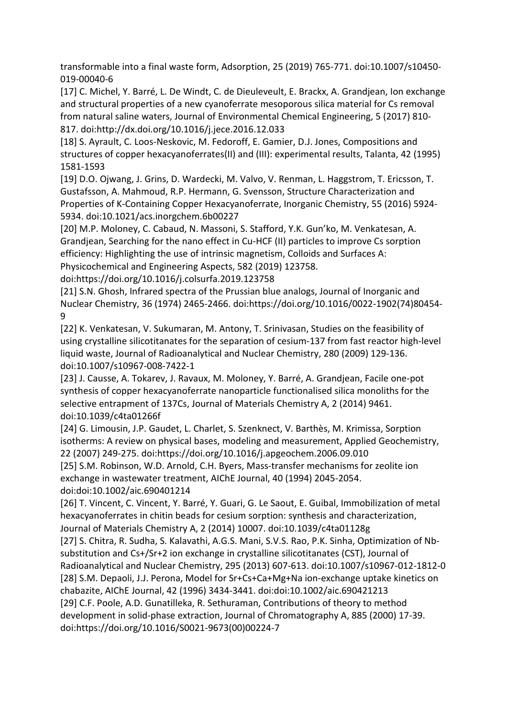transformable into a final waste form, Adsorption, 25 (2019) 765-771. doi:10.1007/s10450- 019-00040-6

[17] C. Michel, Y. Barré, L. De Windt, C. de Dieuleveult, E. Brackx, A. Grandjean, Ion exchange and structural properties of a new cyanoferrate mesoporous silica material for Cs removal from natural saline waters, Journal of Environmental Chemical Engineering, 5 (2017) 810- 817. doi:http://dx.doi.org/10.1016/j.jece.2016.12.033

[18] S. Ayrault, C. Loos-Neskovic, M. Fedoroff, E. Gamier, D.J. Jones, Compositions and structures of copper hexacyanoferrates(II) and (III): experimental results, Talanta, 42 (1995) 1581-1593

[19] D.O. Ojwang, J. Grins, D. Wardecki, M. Valvo, V. Renman, L. Haggstrom, T. Ericsson, T. Gustafsson, A. Mahmoud, R.P. Hermann, G. Svensson, Structure Characterization and Properties of K-Containing Copper Hexacyanoferrate, Inorganic Chemistry, 55 (2016) 5924- 5934. doi:10.1021/acs.inorgchem.6b00227

[20] M.P. Moloney, C. Cabaud, N. Massoni, S. Stafford, Y.K. Gun'ko, M. Venkatesan, A. Grandjean, Searching for the nano effect in Cu-HCF (II) particles to improve Cs sorption efficiency: Highlighting the use of intrinsic magnetism, Colloids and Surfaces A: Physicochemical and Engineering Aspects, 582 (2019) 123758.

doi:https://doi.org/10.1016/j.colsurfa.2019.123758

[21] S.N. Ghosh, Infrared spectra of the Prussian blue analogs, Journal of Inorganic and Nuclear Chemistry, 36 (1974) 2465-2466. doi:https://doi.org/10.1016/0022-1902(74)80454- 9

[22] K. Venkatesan, V. Sukumaran, M. Antony, T. Srinivasan, Studies on the feasibility of using crystalline silicotitanates for the separation of cesium-137 from fast reactor high-level liquid waste, Journal of Radioanalytical and Nuclear Chemistry, 280 (2009) 129-136. doi:10.1007/s10967-008-7422-1

[23] J. Causse, A. Tokarev, J. Ravaux, M. Moloney, Y. Barré, A. Grandjean, Facile one-pot synthesis of copper hexacyanoferrate nanoparticle functionalised silica monoliths for the selective entrapment of 137Cs, Journal of Materials Chemistry A, 2 (2014) 9461. doi:10.1039/c4ta01266f

[24] G. Limousin, J.P. Gaudet, L. Charlet, S. Szenknect, V. Barthès, M. Krimissa, Sorption isotherms: A review on physical bases, modeling and measurement, Applied Geochemistry, 22 (2007) 249-275. doi:https://doi.org/10.1016/j.apgeochem.2006.09.010

[25] S.M. Robinson, W.D. Arnold, C.H. Byers, Mass-transfer mechanisms for zeolite ion exchange in wastewater treatment, AIChE Journal, 40 (1994) 2045-2054. doi:doi:10.1002/aic.690401214

[26] T. Vincent, C. Vincent, Y. Barré, Y. Guari, G. Le Saout, E. Guibal, Immobilization of metal hexacyanoferrates in chitin beads for cesium sorption: synthesis and characterization, Journal of Materials Chemistry A, 2 (2014) 10007. doi:10.1039/c4ta01128g

[27] S. Chitra, R. Sudha, S. Kalavathi, A.G.S. Mani, S.V.S. Rao, P.K. Sinha, Optimization of Nbsubstitution and Cs+/Sr+2 ion exchange in crystalline silicotitanates (CST), Journal of Radioanalytical and Nuclear Chemistry, 295 (2013) 607-613. doi:10.1007/s10967-012-1812-0 [28] S.M. Depaoli, J.J. Perona, Model for Sr+Cs+Ca+Mg+Na ion-exchange uptake kinetics on chabazite, AIChE Journal, 42 (1996) 3434-3441. doi:doi:10.1002/aic.690421213 [29] C.F. Poole, A.D. Gunatilleka, R. Sethuraman, Contributions of theory to method development in solid-phase extraction, Journal of Chromatography A, 885 (2000) 17-39. doi:https://doi.org/10.1016/S0021-9673(00)00224-7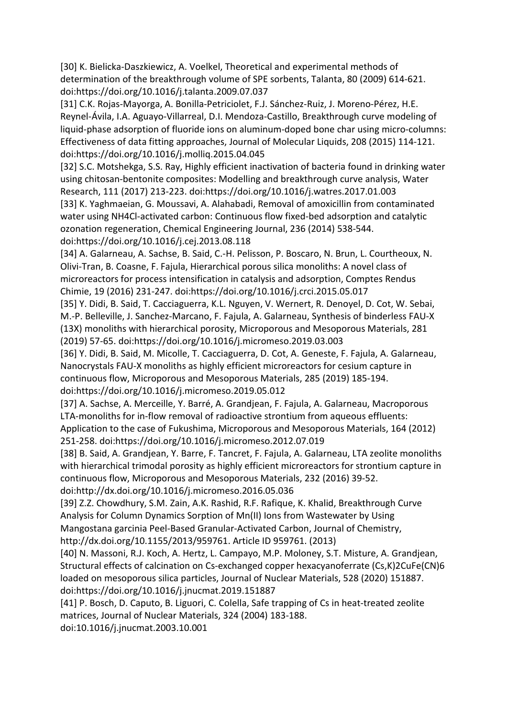[30] K. Bielicka-Daszkiewicz, A. Voelkel, Theoretical and experimental methods of determination of the breakthrough volume of SPE sorbents, Talanta, 80 (2009) 614-621. doi:https://doi.org/10.1016/j.talanta.2009.07.037

[31] C.K. Rojas-Mayorga, A. Bonilla-Petriciolet, F.J. Sánchez-Ruiz, J. Moreno-Pérez, H.E. Reynel-Ávila, I.A. Aguayo-Villarreal, D.I. Mendoza-Castillo, Breakthrough curve modeling of liquid-phase adsorption of fluoride ions on aluminum-doped bone char using micro-columns: Effectiveness of data fitting approaches, Journal of Molecular Liquids, 208 (2015) 114-121. doi:https://doi.org/10.1016/j.molliq.2015.04.045

[32] S.C. Motshekga, S.S. Ray, Highly efficient inactivation of bacteria found in drinking water using chitosan-bentonite composites: Modelling and breakthrough curve analysis, Water Research, 111 (2017) 213-223. doi:https://doi.org/10.1016/j.watres.2017.01.003

[33] K. Yaghmaeian, G. Moussavi, A. Alahabadi, Removal of amoxicillin from contaminated water using NH4Cl-activated carbon: Continuous flow fixed-bed adsorption and catalytic ozonation regeneration, Chemical Engineering Journal, 236 (2014) 538-544. doi:https://doi.org/10.1016/j.cej.2013.08.118

[34] A. Galarneau, A. Sachse, B. Said, C.-H. Pelisson, P. Boscaro, N. Brun, L. Courtheoux, N. Olivi-Tran, B. Coasne, F. Fajula, Hierarchical porous silica monoliths: A novel class of microreactors for process intensification in catalysis and adsorption, Comptes Rendus Chimie, 19 (2016) 231-247. doi:https://doi.org/10.1016/j.crci.2015.05.017

[35] Y. Didi, B. Said, T. Cacciaguerra, K.L. Nguyen, V. Wernert, R. Denoyel, D. Cot, W. Sebai, M.-P. Belleville, J. Sanchez-Marcano, F. Fajula, A. Galarneau, Synthesis of binderless FAU-X (13X) monoliths with hierarchical porosity, Microporous and Mesoporous Materials, 281 (2019) 57-65. doi:https://doi.org/10.1016/j.micromeso.2019.03.003

[36] Y. Didi, B. Said, M. Micolle, T. Cacciaguerra, D. Cot, A. Geneste, F. Fajula, A. Galarneau, Nanocrystals FAU-X monoliths as highly efficient microreactors for cesium capture in continuous flow, Microporous and Mesoporous Materials, 285 (2019) 185-194. doi:https://doi.org/10.1016/j.micromeso.2019.05.012

[37] A. Sachse, A. Merceille, Y. Barré, A. Grandjean, F. Fajula, A. Galarneau, Macroporous LTA-monoliths for in-flow removal of radioactive strontium from aqueous effluents: Application to the case of Fukushima, Microporous and Mesoporous Materials, 164 (2012) 251-258. doi:https://doi.org/10.1016/j.micromeso.2012.07.019

[38] B. Said, A. Grandjean, Y. Barre, F. Tancret, F. Fajula, A. Galarneau, LTA zeolite monoliths with hierarchical trimodal porosity as highly efficient microreactors for strontium capture in continuous flow, Microporous and Mesoporous Materials, 232 (2016) 39-52. doi:http://dx.doi.org/10.1016/j.micromeso.2016.05.036

[39] Z.Z. Chowdhury, S.M. Zain, A.K. Rashid, R.F. Rafique, K. Khalid, Breakthrough Curve Analysis for Column Dynamics Sorption of Mn(II) Ions from Wastewater by Using Mangostana garcinia Peel-Based Granular-Activated Carbon, Journal of Chemistry, http://dx.doi.org/10.1155/2013/959761. Article ID 959761. (2013)

[40] N. Massoni, R.J. Koch, A. Hertz, L. Campayo, M.P. Moloney, S.T. Misture, A. Grandjean, Structural effects of calcination on Cs-exchanged copper hexacyanoferrate (Cs,K)2CuFe(CN)6 loaded on mesoporous silica particles, Journal of Nuclear Materials, 528 (2020) 151887. doi:https://doi.org/10.1016/j.jnucmat.2019.151887

[41] P. Bosch, D. Caputo, B. Liguori, C. Colella, Safe trapping of Cs in heat-treated zeolite matrices, Journal of Nuclear Materials, 324 (2004) 183-188. doi:10.1016/j.jnucmat.2003.10.001